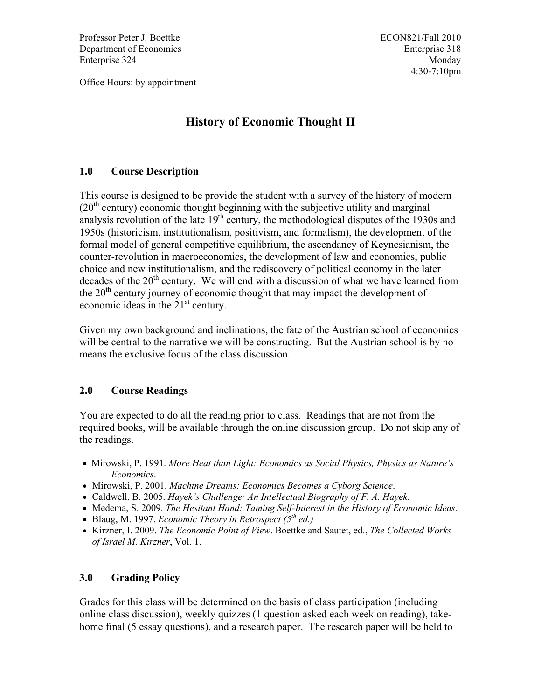Professor Peter J. Boettke Department of Economics Enterprise 324

Office Hours: by appointment

## **History of Economic Thought II**

#### **1.0 Course Description**

This course is designed to be provide the student with a survey of the history of modern  $(20<sup>th</sup>$  century) economic thought beginning with the subjective utility and marginal analysis revolution of the late  $19<sup>th</sup>$  century, the methodological disputes of the 1930s and 1950s (historicism, institutionalism, positivism, and formalism), the development of the formal model of general competitive equilibrium, the ascendancy of Keynesianism, the counter-revolution in macroeconomics, the development of law and economics, public choice and new institutionalism, and the rediscovery of political economy in the later decades of the  $20<sup>th</sup>$  century. We will end with a discussion of what we have learned from the  $20<sup>th</sup>$  century journey of economic thought that may impact the development of economic ideas in the  $21<sup>st</sup>$  century.

Given my own background and inclinations, the fate of the Austrian school of economics will be central to the narrative we will be constructing. But the Austrian school is by no means the exclusive focus of the class discussion.

#### **2.0 Course Readings**

You are expected to do all the reading prior to class. Readings that are not from the required books, will be available through the online discussion group. Do not skip any of the readings.

- x Mirowski, P. 1991. *More Heat than Light: Economics as Social Physics, Physics as Nature's Economics*.
- x Mirowski, P. 2001. *Machine Dreams: Economics Becomes a Cyborg Science*.
- x Caldwell, B. 2005. *Hayek's Challenge: An Intellectual Biography of F. A. Hayek*.
- x Medema, S. 2009. *The Hesitant Hand: Taming Self-Interest in the History of Economic Ideas*.
- x Blaug, M. 1997. *Economic Theory in Retrospect (5th ed.)*
- x Kirzner, I. 2009. *The Economic Point of View*. Boettke and Sautet, ed., *The Collected Works of Israel M. Kirzner*, Vol. 1.

### **3.0 Grading Policy**

Grades for this class will be determined on the basis of class participation (including online class discussion), weekly quizzes (1 question asked each week on reading), takehome final (5 essay questions), and a research paper. The research paper will be held to